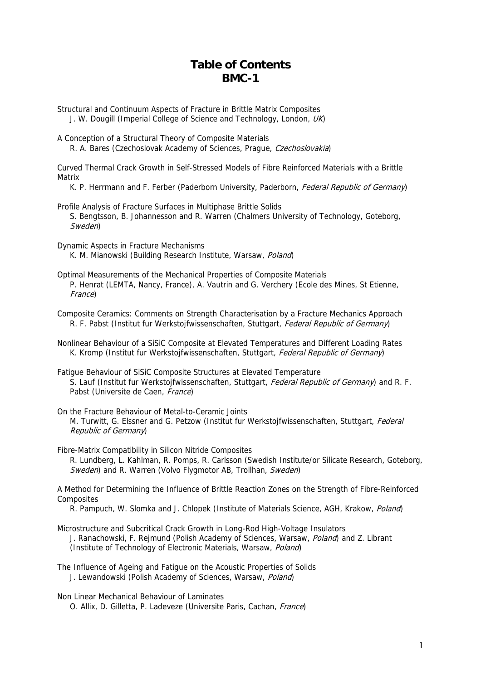## **Table of Contents BMC-1**

Structural and Continuum Aspects of Fracture in Brittle Matrix Composites J. W. Dougill (Imperial College of Science and Technology, London, UK)

A Conception of a Structural Theory of Composite Materials R. A. Bares (Czechoslovak Academy of Sciences, Prague, Czechoslovakia)

Curved Thermal Crack Growth in Self-Stressed Models of Fibre Reinforced Materials with a Brittle Matrix

K. P. Herrmann and F. Ferber (Paderborn University, Paderborn, Federal Republic of Germany)

Profile Analysis of Fracture Surfaces in Multiphase Brittle Solids S. Bengtsson, B. Johannesson and R. Warren (Chalmers University of Technology, Goteborg, Sweden)

Dynamic Aspects in Fracture Mechanisms K. M. Mianowski (Building Research Institute, Warsaw, Poland)

Optimal Measurements of the Mechanical Properties of Composite Materials P. Henrat (LEMTA, Nancy, France), A. Vautrin and G. Verchery (Ecole des Mines, St Etienne, France)

Composite Ceramics: Comments on Strength Characterisation by a Fracture Mechanics Approach R. F. Pabst (Institut fur Werkstoifwissenschaften, Stuttgart, Federal Republic of Germany)

Nonlinear Behaviour of a SiSiC Composite at Elevated Temperatures and Different Loading Rates K. Kromp (Institut fur Werkstojfwissenschaften, Stuttgart, Federal Republic of Germany)

Fatigue Behaviour of SiSiC Composite Structures at Elevated Temperature S. Lauf (Institut fur Werkstojfwissenschaften, Stuttgart, Federal Republic of Germany) and R. F. Pabst (Universite de Caen, France)

On the Fracture Behaviour of Metal-to-Ceramic Joints M. Turwitt, G. Elssner and G. Petzow (Institut fur Werkstojfwissenschaften, Stuttgart, Federal Republic of Germany)

Fibre-Matrix Compatibility in Silicon Nitride Composites

 R. Lundberg, L. Kahlman, R. Pomps, R. Carlsson (Swedish Institute/or Silicate Research, Goteborg, Sweden) and R. Warren (Volvo Flygmotor AB, Trollhan, Sweden)

A Method for Determining the Influence of Brittle Reaction Zones on the Strength of Fibre-Reinforced Composites

R. Pampuch, W. Slomka and J. Chlopek (Institute of Materials Science, AGH, Krakow, *Poland*)

- Microstructure and Subcritical Crack Growth in Long-Rod High-Voltage Insulators J. Ranachowski, F. Rejmund (Polish Academy of Sciences, Warsaw, Poland) and Z. Librant (Institute of Technology of Electronic Materials, Warsaw, Poland)
- The Influence of Ageing and Fatigue on the Acoustic Properties of Solids J. Lewandowski (Polish Academy of Sciences, Warsaw, Poland)

Non Linear Mechanical Behaviour of Laminates O. Allix, D. Gilletta, P. Ladeveze (Universite Paris, Cachan, France)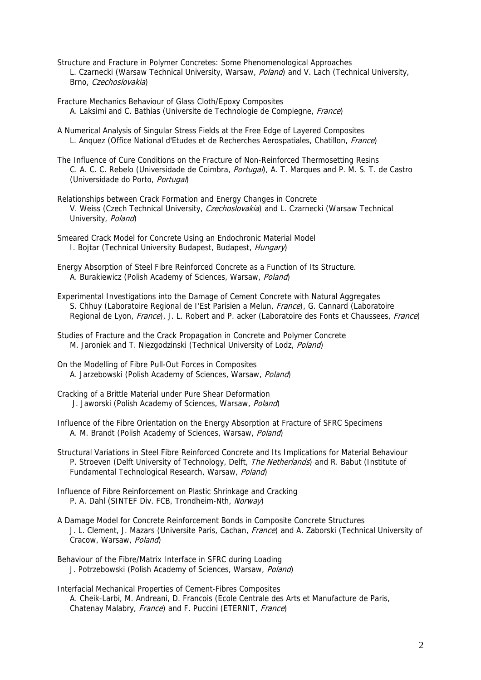- Structure and Fracture in Polymer Concretes: Some Phenomenological Approaches L. Czarnecki (Warsaw Technical University, Warsaw, *Poland*) and V. Lach (Technical University, Brno, Czechoslovakia)
- Fracture Mechanics Behaviour of Glass Cloth/Epoxy Composites A. Laksimi and C. Bathias (Universite de Technologie de Compiegne, France)
- A Numerical Analysis of Singular Stress Fields at the Free Edge of Layered Composites L. Anquez (Office National d'Etudes et de Recherches Aerospatiales, Chatillon, France)
- The Influence of Cure Conditions on the Fracture of Non-Reinforced Thermosetting Resins C. A. C. C. Rebelo (Universidade de Coimbra, *Portugal*), A. T. Marques and P. M. S. T. de Castro (Universidade do Porto, Portugal)
- Relationships between Crack Formation and Energy Changes in Concrete V. Weiss (Czech Technical University, *Czechoslovakia*) and L. Czarnecki (Warsaw Technical University, Poland
- Smeared Crack Model for Concrete Using an Endochronic Material Model I. Bojtar (Technical University Budapest, Budapest, Hungary)
- Energy Absorption of Steel Fibre Reinforced Concrete as a Function of Its Structure. A. Burakiewicz (Polish Academy of Sciences, Warsaw, Poland)
- Experimental Investigations into the Damage of Cement Concrete with Natural Aggregates S. Chhuy (Laboratoire Regional de I'Est Parisien a Melun, France), G. Cannard (Laboratoire Regional de Lyon, *France*), J. L. Robert and P. acker (Laboratoire des Fonts et Chaussees, France)
- Studies of Fracture and the Crack Propagation in Concrete and Polymer Concrete M. Jaroniek and T. Niezgodzinski (Technical University of Lodz, Poland)
- On the Modelling of Fibre Pull-Out Forces in Composites A. Jarzebowski (Polish Academy of Sciences, Warsaw, Poland)
- Cracking of a Brittle Material under Pure Shear Deformation J. Jaworski (Polish Academy of Sciences, Warsaw, Poland)
- Influence of the Fibre Orientation on the Energy Absorption at Fracture of SFRC Specimens A. M. Brandt (Polish Academy of Sciences, Warsaw, Poland)
- Structural Variations in Steel Fibre Reinforced Concrete and Its Implications for Material Behaviour P. Stroeven (Delft University of Technology, Delft, *The Netherlands*) and R. Babut (Institute of Fundamental Technological Research, Warsaw, Poland)
- Influence of Fibre Reinforcement on Plastic Shrinkage and Cracking P. A. Dahl (SINTEF Div. FCB, Trondheim-Nth, Norway)
- A Damage Model for Concrete Reinforcement Bonds in Composite Concrete Structures J. L. Clement, J. Mazars (Universite Paris, Cachan, France) and A. Zaborski (Technical University of Cracow, Warsaw, Poland)
- Behaviour of the Fibre/Matrix Interface in SFRC during Loading J. Potrzebowski (Polish Academy of Sciences, Warsaw, Poland)
- Interfacial Mechanical Properties of Cement-Fibres Composites A. Cheik-Larbi, M. Andreani, D. Francois (Ecole Centrale des Arts et Manufacture de Paris, Chatenay Malabry, France) and F. Puccini (ETERNIT, France)